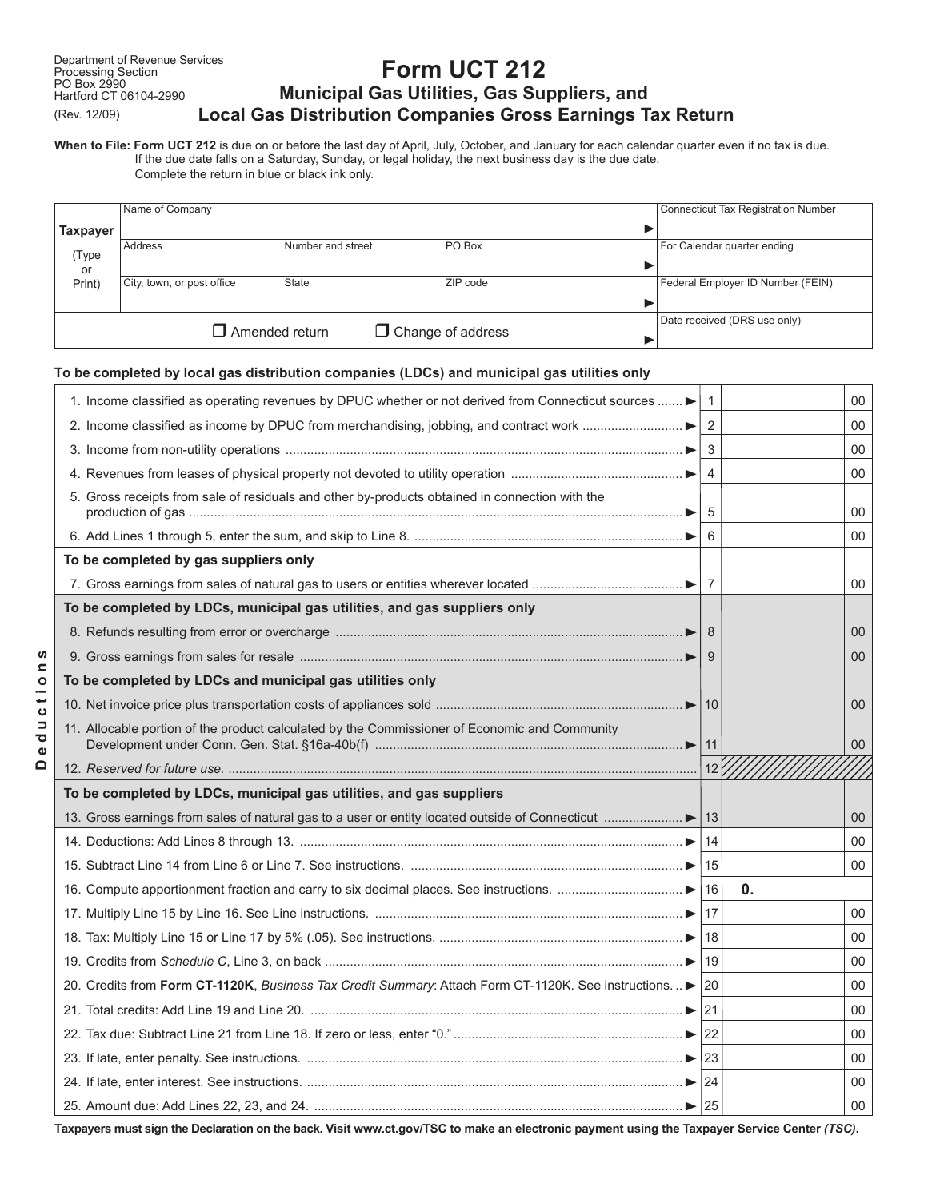**D e d u c t i o n s**

Deductions

# **Form UCT 212 Municipal Gas Utilities, Gas Suppliers, and Local Gas Distribution Companies Gross Earnings Tax Return**

**When to File: Form UCT 212** is due on or before the last day of April, July, October, and January for each calendar quarter even if no tax is due. If the due date falls on a Saturday, Sunday, or legal holiday, the next business day is the due date.

Complete the return in blue or black ink only.

|                                                   | Name of Company            |                   |  |          |                              | <b>Connecticut Tax Registration Number</b> |
|---------------------------------------------------|----------------------------|-------------------|--|----------|------------------------------|--------------------------------------------|
| <b>Taxpayer</b>                                   |                            |                   |  |          |                              |                                            |
| (Type                                             | Address                    | Number and street |  | PO Box   |                              | For Calendar quarter ending                |
| or                                                |                            |                   |  |          |                              |                                            |
| Print)                                            | City, town, or post office | State             |  | ZIP code |                              | Federal Employer ID Number (FEIN)          |
|                                                   |                            |                   |  |          |                              |                                            |
| $\Box$ Amended return<br>$\Box$ Change of address |                            |                   |  |          | Date received (DRS use only) |                                            |
|                                                   |                            |                   |  |          |                              |                                            |

#### **To be completed by local gas distribution companies (LDCs) and municipal gas utilities only**

| 1. Income classified as operating revenues by DPUC whether or not derived from Connecticut sources       | $\mathbf{1}$   |    | 00 |
|----------------------------------------------------------------------------------------------------------|----------------|----|----|
|                                                                                                          | 2              |    | 00 |
|                                                                                                          | 3              |    | 00 |
|                                                                                                          | $\overline{4}$ |    | 00 |
| 5. Gross receipts from sale of residuals and other by-products obtained in connection with the           | 5              |    | 00 |
|                                                                                                          | 6              |    | 00 |
| To be completed by gas suppliers only                                                                    |                |    |    |
|                                                                                                          | $\overline{7}$ |    | 00 |
| To be completed by LDCs, municipal gas utilities, and gas suppliers only                                 |                |    |    |
|                                                                                                          | 8              |    | 00 |
|                                                                                                          | 9              |    | 00 |
| To be completed by LDCs and municipal gas utilities only                                                 |                |    |    |
|                                                                                                          |                |    | 00 |
| 11. Allocable portion of the product calculated by the Commissioner of Economic and Community            |                |    |    |
|                                                                                                          |                |    | 00 |
|                                                                                                          | 12             |    |    |
| To be completed by LDCs, municipal gas utilities, and gas suppliers                                      |                |    |    |
|                                                                                                          |                |    | 00 |
|                                                                                                          | 14             |    | 00 |
|                                                                                                          |                |    | 00 |
|                                                                                                          | 16             | 0. |    |
|                                                                                                          |                |    | 00 |
|                                                                                                          |                |    | 00 |
|                                                                                                          |                |    | 00 |
| 20. Credits from Form CT-1120K, Business Tax Credit Summary: Attach Form CT-1120K. See instructions > 20 |                |    | 00 |
| 21. Total credits: Add Line 19 and Line 20. ………………………………………………………………………………………… ► 21                      |                |    | 00 |
|                                                                                                          |                |    | 00 |
|                                                                                                          |                |    | 00 |
|                                                                                                          |                |    | 00 |

**Taxpayers must sign the Declaration on the back. Visit www.ct.gov/TSC to make an electronic payment using the Taxpayer Service Center** *(TSC)***.**